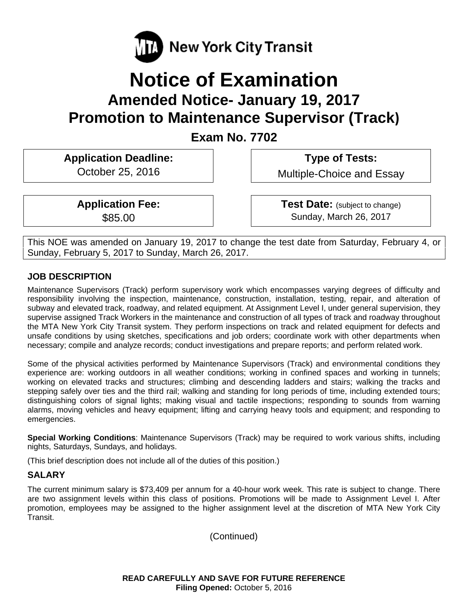

# **Notice of Examination Amended Notice- January 19, 2017 Promotion to Maintenance Supervisor (Track)**

**Exam No. 7702** 

**Application Deadline:**  October 25, 2016

 **Type of Tests:** 

Multiple-Choice and Essay

**Application Fee:**  \$85.00

 **Test Date:** (subject to change) Sunday, March 26, 2017

This NOE was amended on January 19, 2017 to change the test date from Saturday, February 4, or Sunday, February 5, 2017 to Sunday, March 26, 2017.

## **JOB DESCRIPTION**

Maintenance Supervisors (Track) perform supervisory work which encompasses varying degrees of difficulty and responsibility involving the inspection, maintenance, construction, installation, testing, repair, and alteration of subway and elevated track, roadway, and related equipment. At Assignment Level I, under general supervision, they supervise assigned Track Workers in the maintenance and construction of all types of track and roadway throughout the MTA New York City Transit system. They perform inspections on track and related equipment for defects and unsafe conditions by using sketches, specifications and job orders; coordinate work with other departments when necessary; compile and analyze records; conduct investigations and prepare reports; and perform related work.

Some of the physical activities performed by Maintenance Supervisors (Track) and environmental conditions they experience are: working outdoors in all weather conditions; working in confined spaces and working in tunnels; working on elevated tracks and structures; climbing and descending ladders and stairs; walking the tracks and stepping safely over ties and the third rail; walking and standing for long periods of time, including extended tours; distinguishing colors of signal lights; making visual and tactile inspections; responding to sounds from warning alarms, moving vehicles and heavy equipment; lifting and carrying heavy tools and equipment; and responding to emergencies.

**Special Working Conditions**: Maintenance Supervisors (Track) may be required to work various shifts, including nights, Saturdays, Sundays, and holidays.

(This brief description does not include all of the duties of this position.)

## **SALARY**

The current minimum salary is \$73,409 per annum for a 40-hour work week. This rate is subject to change. There are two assignment levels within this class of positions. Promotions will be made to Assignment Level I. After promotion, employees may be assigned to the higher assignment level at the discretion of MTA New York City Transit.

(Continued)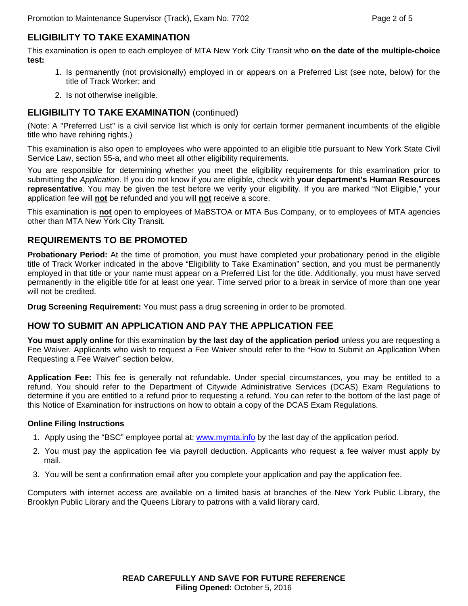## **ELIGIBILITY TO TAKE EXAMINATION**

This examination is open to each employee of MTA New York City Transit who **on the date of the multiple-choice test:** 

- 1. Is permanently (not provisionally) employed in or appears on a Preferred List (see note, below) for the title of Track Worker; and
- 2. Is not otherwise ineligible.

## **ELIGIBILITY TO TAKE EXAMINATION** (continued)

(Note: A "Preferred List" is a civil service list which is only for certain former permanent incumbents of the eligible title who have rehiring rights.)

This examination is also open to employees who were appointed to an eligible title pursuant to New York State Civil Service Law, section 55-a, and who meet all other eligibility requirements.

You are responsible for determining whether you meet the eligibility requirements for this examination prior to submitting the *Application*. If you do not know if you are eligible, check with **your department's Human Resources representative**. You may be given the test before we verify your eligibility. If you are marked "Not Eligible," your application fee will **not** be refunded and you will **not** receive a score.

This examination is **not** open to employees of MaBSTOA or MTA Bus Company, or to employees of MTA agencies other than MTA New York City Transit.

#### **REQUIREMENTS TO BE PROMOTED**

**Probationary Period:** At the time of promotion, you must have completed your probationary period in the eligible title of Track Worker indicated in the above "Eligibility to Take Examination" section, and you must be permanently employed in that title or your name must appear on a Preferred List for the title. Additionally, you must have served permanently in the eligible title for at least one year. Time served prior to a break in service of more than one year will not be credited.

**Drug Screening Requirement:** You must pass a drug screening in order to be promoted.

#### **HOW TO SUBMIT AN APPLICATION AND PAY THE APPLICATION FEE**

**You must apply online** for this examination **by the last day of the application period** unless you are requesting a Fee Waiver. Applicants who wish to request a Fee Waiver should refer to the "How to Submit an Application When Requesting a Fee Waiver" section below.

**Application Fee:** This fee is generally not refundable. Under special circumstances, you may be entitled to a refund. You should refer to the Department of Citywide Administrative Services (DCAS) Exam Regulations to determine if you are entitled to a refund prior to requesting a refund. You can refer to the bottom of the last page of this Notice of Examination for instructions on how to obtain a copy of the DCAS Exam Regulations.

#### **Online Filing Instructions**

- 1. Apply using the "BSC" employee portal at: www.mymta.info by the last day of the application period.
- 2. You must pay the application fee via payroll deduction. Applicants who request a fee waiver must apply by mail.
- 3. You will be sent a confirmation email after you complete your application and pay the application fee.

Computers with internet access are available on a limited basis at branches of the New York Public Library, the Brooklyn Public Library and the Queens Library to patrons with a valid library card.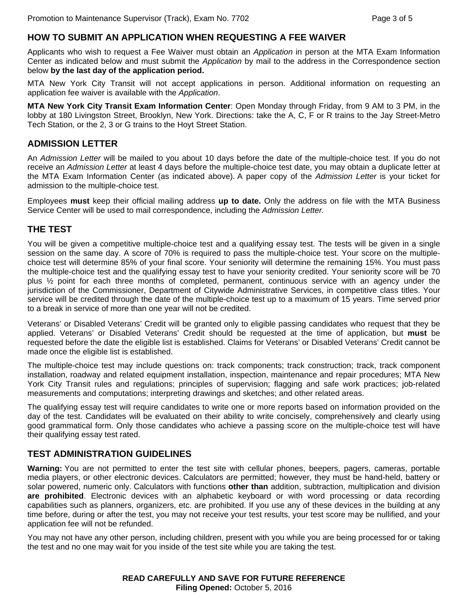### **HOW TO SUBMIT AN APPLICATION WHEN REQUESTING A FEE WAIVER**

Applicants who wish to request a Fee Waiver must obtain an *Application* in person at the MTA Exam Information Center as indicated below and must submit the *Application* by mail to the address in the Correspondence section below **by the last day of the application period.**

MTA New York City Transit will not accept applications in person. Additional information on requesting an application fee waiver is available with the *Application*.

**MTA New York City Transit Exam Information Center**: Open Monday through Friday, from 9 AM to 3 PM, in the lobby at 180 Livingston Street, Brooklyn, New York. Directions: take the A, C, F or R trains to the Jay Street-Metro Tech Station, or the 2, 3 or G trains to the Hoyt Street Station.

#### **ADMISSION LETTER**

An *Admission Letter* will be mailed to you about 10 days before the date of the multiple-choice test. If you do not receive an *Admission Letter* at least 4 days before the multiple-choice test date, you may obtain a duplicate letter at the MTA Exam Information Center (as indicated above). A paper copy of the *Admission Letter* is your ticket for admission to the multiple-choice test.

Employees **must** keep their official mailing address **up to date.** Only the address on file with the MTA Business Service Center will be used to mail correspondence, including the *Admission Letter.* 

#### **THE TEST**

You will be given a competitive multiple-choice test and a qualifying essay test. The tests will be given in a single session on the same day. A score of 70% is required to pass the multiple-choice test. Your score on the multiplechoice test will determine 85% of your final score. Your seniority will determine the remaining 15%. You must pass the multiple-choice test and the qualifying essay test to have your seniority credited. Your seniority score will be 70 plus ½ point for each three months of completed, permanent, continuous service with an agency under the jurisdiction of the Commissioner, Department of Citywide Administrative Services, in competitive class titles. Your service will be credited through the date of the multiple-choice test up to a maximum of 15 years. Time served prior to a break in service of more than one year will not be credited.

Veterans' or Disabled Veterans' Credit will be granted only to eligible passing candidates who request that they be applied. Veterans' or Disabled Veterans' Credit should be requested at the time of application, but **must** be requested before the date the eligible list is established. Claims for Veterans' or Disabled Veterans' Credit cannot be made once the eligible list is established.

The multiple-choice test may include questions on: track components; track construction; track, track component installation, roadway and related equipment installation, inspection, maintenance and repair procedures; MTA New York City Transit rules and regulations; principles of supervision; flagging and safe work practices; job-related measurements and computations; interpreting drawings and sketches; and other related areas.

The qualifying essay test will require candidates to write one or more reports based on information provided on the day of the test. Candidates will be evaluated on their ability to write concisely, comprehensively and clearly using good grammatical form. Only those candidates who achieve a passing score on the multiple-choice test will have their qualifying essay test rated.

#### **TEST ADMINISTRATION GUIDELINES**

**Warning:** You are not permitted to enter the test site with cellular phones, beepers, pagers, cameras, portable media players, or other electronic devices. Calculators are permitted; however, they must be hand-held, battery or solar powered, numeric only. Calculators with functions **other than** addition, subtraction, multiplication and division **are prohibited**. Electronic devices with an alphabetic keyboard or with word processing or data recording capabilities such as planners, organizers, etc. are prohibited. If you use any of these devices in the building at any time before, during or after the test, you may not receive your test results, your test score may be nullified, and your application fee will not be refunded.

You may not have any other person, including children, present with you while you are being processed for or taking the test and no one may wait for you inside of the test site while you are taking the test.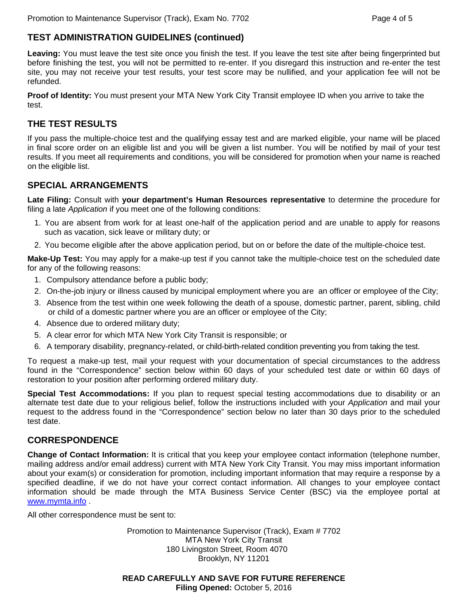## **TEST ADMINISTRATION GUIDELINES (continued)**

**Leaving:** You must leave the test site once you finish the test. If you leave the test site after being fingerprinted but before finishing the test, you will not be permitted to re-enter. If you disregard this instruction and re-enter the test site, you may not receive your test results, your test score may be nullified, and your application fee will not be refunded.

**Proof of Identity:** You must present your MTA New York City Transit employee ID when you arrive to take the test.

## **THE TEST RESULTS**

If you pass the multiple-choice test and the qualifying essay test and are marked eligible, your name will be placed in final score order on an eligible list and you will be given a list number. You will be notified by mail of your test results. If you meet all requirements and conditions, you will be considered for promotion when your name is reached on the eligible list.

#### **SPECIAL ARRANGEMENTS**

**Late Filing:** Consult with **your department's Human Resources representative** to determine the procedure for filing a late *Application* if you meet one of the following conditions:

- 1. You are absent from work for at least one-half of the application period and are unable to apply for reasons such as vacation, sick leave or military duty; or
- 2. You become eligible after the above application period, but on or before the date of the multiple-choice test.

**Make-Up Test:** You may apply for a make-up test if you cannot take the multiple-choice test on the scheduled date for any of the following reasons:

- 1. Compulsory attendance before a public body;
- 2. On-the-job injury or illness caused by municipal employment where you are an officer or employee of the City;
- 3. Absence from the test within one week following the death of a spouse, domestic partner, parent, sibling, child or child of a domestic partner where you are an officer or employee of the City;
- 4. Absence due to ordered military duty;
- 5. A clear error for which MTA New York City Transit is responsible; or
- 6. A temporary disability, pregnancy-related, or child-birth-related condition preventing you from taking the test.

To request a make-up test, mail your request with your documentation of special circumstances to the address found in the "Correspondence" section below within 60 days of your scheduled test date or within 60 days of restoration to your position after performing ordered military duty.

**Special Test Accommodations:** If you plan to request special testing accommodations due to disability or an alternate test date due to your religious belief, follow the instructions included with your *Application* and mail your request to the address found in the "Correspondence" section below no later than 30 days prior to the scheduled test date.

#### **CORRESPONDENCE**

**Change of Contact Information:** It is critical that you keep your employee contact information (telephone number, mailing address and/or email address) current with MTA New York City Transit. You may miss important information about your exam(s) or consideration for promotion, including important information that may require a response by a specified deadline, if we do not have your correct contact information. All changes to your employee contact information should be made through the MTA Business Service Center (BSC) via the employee portal at www.mymta.info.

All other correspondence must be sent to:

Promotion to Maintenance Supervisor (Track), Exam # 7702 MTA New York City Transit 180 Livingston Street, Room 4070 Brooklyn, NY 11201

**READ CAREFULLY AND SAVE FOR FUTURE REFERENCE Filing Opened:** October 5, 2016